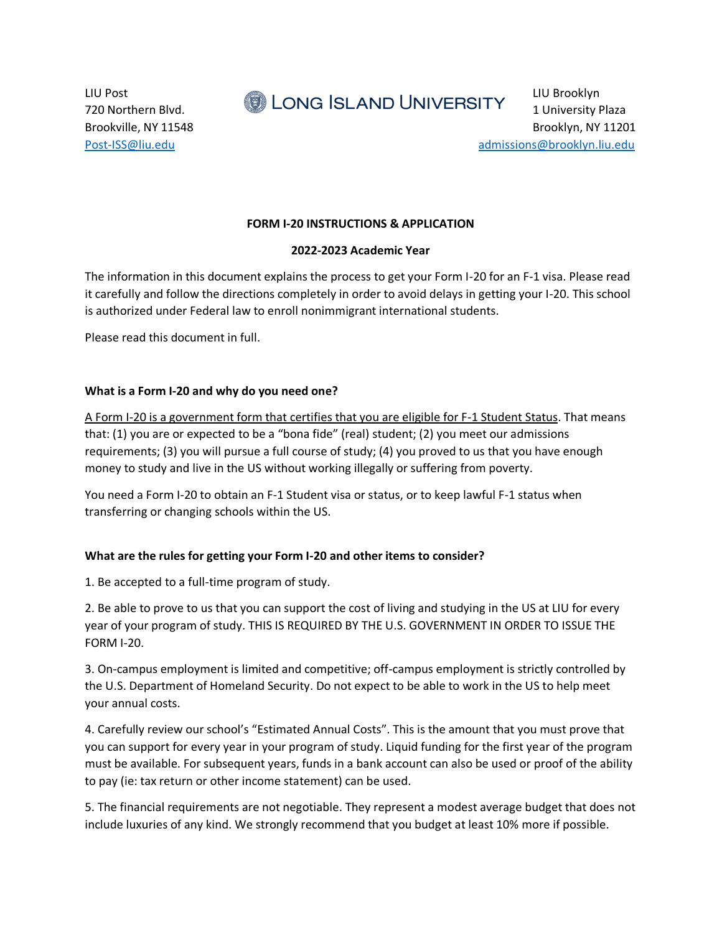LIU Post LIU Brooklyn 720 Northern Blvd. **1 University Plaza** 1 University Plaza

Brookville, NY 11548 Brookville, NY 11548 [Post-ISS@liu.edu](mailto:Post-ISS@liu.edu) [admissions@brooklyn.liu.edu](mailto:admissions@brooklyn.liu.edu)

## **FORM I-20 INSTRUCTIONS & APPLICATION**

#### **2022-2023 Academic Year**

The information in this document explains the process to get your Form I-20 for an F-1 visa. Please read it carefully and follow the directions completely in order to avoid delays in getting your I-20. This school is authorized under Federal law to enroll nonimmigrant international students.

Please read this document in full.

### **What is a Form I-20 and why do you need one?**

A Form I-20 is a government form that certifies that you are eligible for F-1 Student Status. That means that: (1) you are or expected to be a "bona fide" (real) student; (2) you meet our admissions requirements; (3) you will pursue a full course of study; (4) you proved to us that you have enough money to study and live in the US without working illegally or suffering from poverty.

You need a Form I-20 to obtain an F-1 Student visa or status, or to keep lawful F-1 status when transferring or changing schools within the US.

#### **What are the rules for getting your Form I-20 and other items to consider?**

1. Be accepted to a full-time program of study.

2. Be able to prove to us that you can support the cost of living and studying in the US at LIU for every year of your program of study. THIS IS REQUIRED BY THE U.S. GOVERNMENT IN ORDER TO ISSUE THE FORM I-20.

3. On-campus employment is limited and competitive; off-campus employment is strictly controlled by the U.S. Department of Homeland Security. Do not expect to be able to work in the US to help meet your annual costs.

4. Carefully review our school's "Estimated Annual Costs". This is the amount that you must prove that you can support for every year in your program of study. Liquid funding for the first year of the program must be available. For subsequent years, funds in a bank account can also be used or proof of the ability to pay (ie: tax return or other income statement) can be used.

5. The financial requirements are not negotiable. They represent a modest average budget that does not include luxuries of any kind. We strongly recommend that you budget at least 10% more if possible.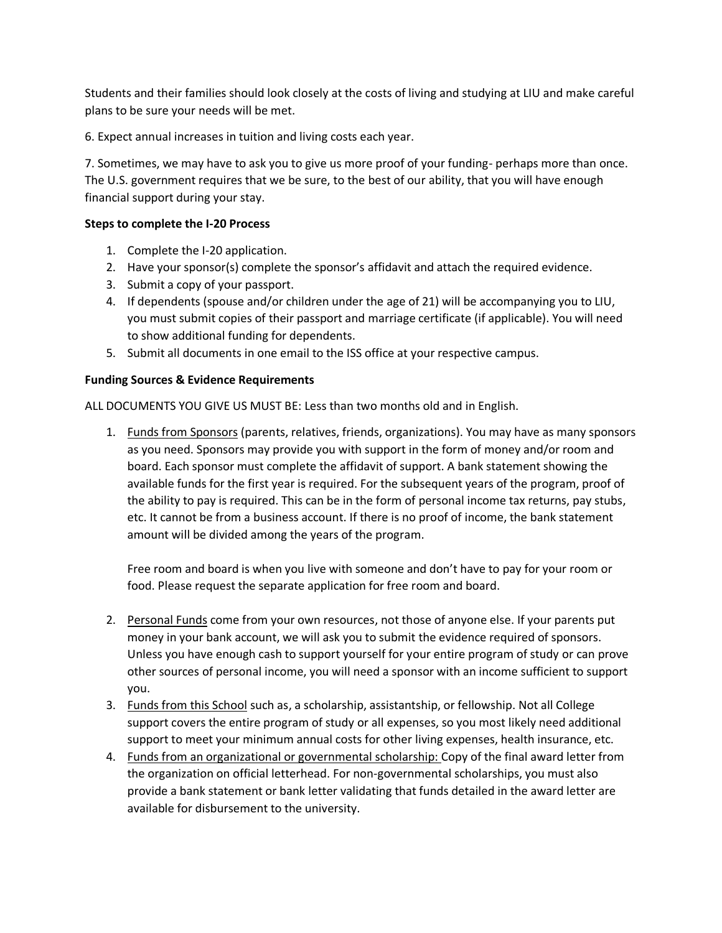Students and their families should look closely at the costs of living and studying at LIU and make careful plans to be sure your needs will be met.

6. Expect annual increases in tuition and living costs each year.

7. Sometimes, we may have to ask you to give us more proof of your funding- perhaps more than once. The U.S. government requires that we be sure, to the best of our ability, that you will have enough financial support during your stay.

# **Steps to complete the I-20 Process**

- 1. Complete the I-20 application.
- 2. Have your sponsor(s) complete the sponsor's affidavit and attach the required evidence.
- 3. Submit a copy of your passport.
- 4. If dependents (spouse and/or children under the age of 21) will be accompanying you to LIU, you must submit copies of their passport and marriage certificate (if applicable). You will need to show additional funding for dependents.
- 5. Submit all documents in one email to the ISS office at your respective campus.

## **Funding Sources & Evidence Requirements**

ALL DOCUMENTS YOU GIVE US MUST BE: Less than two months old and in English.

1. Funds from Sponsors (parents, relatives, friends, organizations). You may have as many sponsors as you need. Sponsors may provide you with support in the form of money and/or room and board. Each sponsor must complete the affidavit of support. A bank statement showing the available funds for the first year is required. For the subsequent years of the program, proof of the ability to pay is required. This can be in the form of personal income tax returns, pay stubs, etc. It cannot be from a business account. If there is no proof of income, the bank statement amount will be divided among the years of the program.

Free room and board is when you live with someone and don't have to pay for your room or food. Please request the separate application for free room and board.

- 2. Personal Funds come from your own resources, not those of anyone else. If your parents put money in your bank account, we will ask you to submit the evidence required of sponsors. Unless you have enough cash to support yourself for your entire program of study or can prove other sources of personal income, you will need a sponsor with an income sufficient to support you.
- 3. Funds from this School such as, a scholarship, assistantship, or fellowship. Not all College support covers the entire program of study or all expenses, so you most likely need additional support to meet your minimum annual costs for other living expenses, health insurance, etc.
- 4. Funds from an organizational or governmental scholarship: Copy of the final award letter from the organization on official letterhead. For non-governmental scholarships, you must also provide a bank statement or bank letter validating that funds detailed in the award letter are available for disbursement to the university.